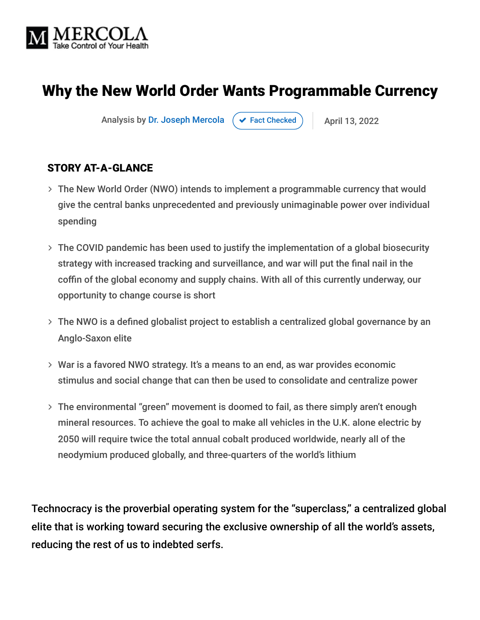

# Why the New World Order Wants Programmable Currency

Analysis by [Dr. Joseph Mercola](https://www.mercola.com/forms/background.htm)  $\left( \right. \times$  [Fact Checked](javascript:void(0))  $\left. \right)$  | April 13, 2022

#### STORY AT-A-GLANCE

- The New World Order (NWO) intends to implement a programmable currency that would give the central banks unprecedented and previously unimaginable power over individual spending
- The COVID pandemic has been used to justify the implementation of a global biosecurity strategy with increased tracking and surveillance, and war will put the final nail in the coffin of the global economy and supply chains. With all of this currently underway, our opportunity to change course is short
- The NWO is a defined globalist project to establish a centralized global governance by an Anglo-Saxon elite
- War is a favored NWO strategy. It's a means to an end, as war provides economic stimulus and social change that can then be used to consolidate and centralize power
- The environmental "green" movement is doomed to fail, as there simply aren't enough mineral resources. To achieve the goal to make all vehicles in the U.K. alone electric by 2050 will require twice the total annual cobalt produced worldwide, nearly all of the neodymium produced globally, and three-quarters of the world's lithium

Technocracy is the proverbial operating system for the "superclass," a centralized global elite that is working toward securing the exclusive ownership of all the world's assets, reducing the rest of us to indebted serfs.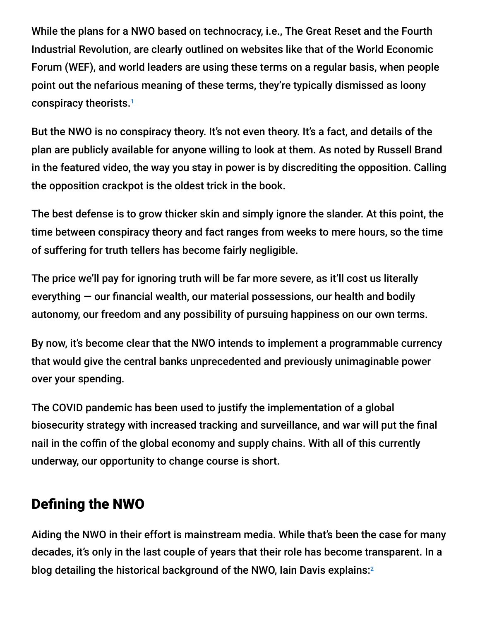While the plans for a NWO based on technocracy, i.e., The Great Reset and the Fourth Industrial Revolution, are clearly outlined on websites like that of the World Economic Forum (WEF), and world leaders are using these terms on a regular basis, when people point out the nefarious meaning of these terms, they're typically dismissed as loony conspiracy theorists. 1

But the NWO is no conspiracy theory. It's not even theory. It's a fact, and details of the plan are publicly available for anyone willing to look at them. As noted by Russell Brand in the featured video, the way you stay in power is by discrediting the opposition. Calling the opposition crackpot is the oldest trick in the book.

The best defense is to grow thicker skin and simply ignore the slander. At this point, the time between conspiracy theory and fact ranges from weeks to mere hours, so the time of suffering for truth tellers has become fairly negligible.

The price we'll pay for ignoring truth will be far more severe, as it'll cost us literally everything — our financial wealth, our material possessions, our health and bodily autonomy, our freedom and any possibility of pursuing happiness on our own terms.

By now, it's become clear that the NWO intends to implement a programmable currency that would give the central banks unprecedented and previously unimaginable power over your spending.

The COVID pandemic has been used to justify the implementation of a global biosecurity strategy with increased tracking and surveillance, and war will put the final nail in the coffin of the global economy and supply chains. With all of this currently underway, our opportunity to change course is short.

# Defining the NWO

Aiding the NWO in their effort is mainstream media. While that's been the case for many decades, it's only in the last couple of years that their role has become transparent. In a blog detailing the historical background of the NWO, Iain Davis explains: 2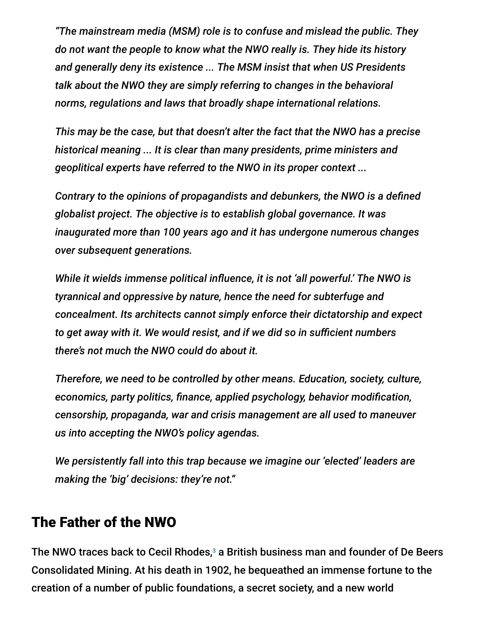*"The mainstream media (MSM) role is to confuse and mislead the public. They do not want the people to know what the NWO really is. They hide its history and generally deny its existence ... The MSM insist that when US Presidents talk about the NWO they are simply referring to changes in the behavioral norms, regulations and laws that broadly shape international relations.*

*This may be the case, but that doesn't alter the fact that the NWO has a precise historical meaning ... It is clear than many presidents, prime ministers and geoplitical experts have referred to the NWO in its proper context ...*

*Contrary to the opinions of propagandists and debunkers, the NWO is a defined globalist project. The objective is to establish global governance. It was inaugurated more than 100 years ago and it has undergone numerous changes over subsequent generations.*

*While it wields immense political influence, it is not 'all powerful.' The NWO is tyrannical and oppressive by nature, hence the need for subterfuge and concealment. Its architects cannot simply enforce their dictatorship and expect to get away with it. We would resist, and if we did so in sufficient numbers there's not much the NWO could do about it.*

*Therefore, we need to be controlled by other means. Education, society, culture, economics, party politics, finance, applied psychology, behavior modification, censorship, propaganda, war and crisis management are all used to maneuver us into accepting the NWO's policy agendas.*

*We persistently fall into this trap because we imagine our 'elected' leaders are making the 'big' decisions: they're not."*

### The Father of the NWO

The NWO traces back to Cecil Rhodes, $3$  a British business man and founder of De Beers Consolidated Mining. At his death in 1902, he bequeathed an immense fortune to the creation of a number of public foundations, a secret society, and a new world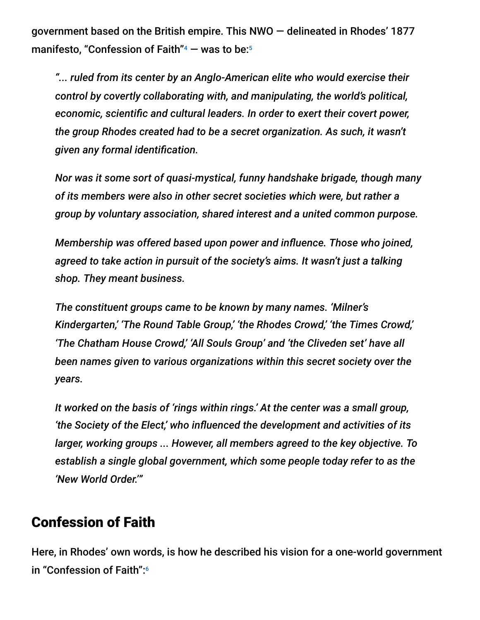government based on the British empire. This NWO — delineated in Rhodes' 1877 manifesto, "Confession of Faith" $4$  — was to be: $5$ 

*"... ruled from its center by an Anglo-American elite who would exercise their control by covertly collaborating with, and manipulating, the world's political, economic, scientific and cultural leaders. In order to exert their covert power, the group Rhodes created had to be a secret organization. As such, it wasn't given any formal identification.*

*Nor was it some sort of quasi-mystical, funny handshake brigade, though many of its members were also in other secret societies which were, but rather a group by voluntary association, shared interest and a united common purpose.*

*Membership was offered based upon power and influence. Those who joined, agreed to take action in pursuit of the society's aims. It wasn't just a talking shop. They meant business.*

*The constituent groups came to be known by many names. 'Milner's Kindergarten,' 'The Round Table Group,' 'the Rhodes Crowd,' 'the Times Crowd,' 'The Chatham House Crowd,' 'All Souls Group' and 'the Cliveden set' have all been names given to various organizations within this secret society over the years.*

*It worked on the basis of 'rings within rings.' At the center was a small group, 'the Society of the Elect,' who influenced the development and activities of its larger, working groups ... However, all members agreed to the key objective. To establish a single global government, which some people today refer to as the 'New World Order.'"*

### Confession of Faith

Here, in Rhodes' own words, is how he described his vision for a one-world government in "Confession of Faith": 6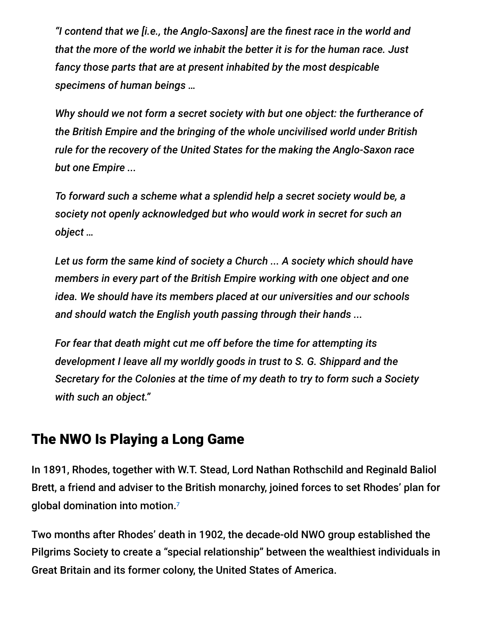*"I contend that we [i.e., the Anglo-Saxons] are the finest race in the world and that the more of the world we inhabit the better it is for the human race. Just fancy those parts that are at present inhabited by the most despicable specimens of human beings …*

*Why should we not form a secret society with but one object: the furtherance of the British Empire and the bringing of the whole uncivilised world under British rule for the recovery of the United States for the making the Anglo-Saxon race but one Empire ...*

*To forward such a scheme what a splendid help a secret society would be, a society not openly acknowledged but who would work in secret for such an object …*

*Let us form the same kind of society a Church ... A society which should have members in every part of the British Empire working with one object and one idea. We should have its members placed at our universities and our schools and should watch the English youth passing through their hands ...*

*For fear that death might cut me off before the time for attempting its development I leave all my worldly goods in trust to S. G. Shippard and the Secretary for the Colonies at the time of my death to try to form such a Society with such an object."*

### The NWO Is Playing a Long Game

In 1891, Rhodes, together with W.T. Stead, Lord Nathan Rothschild and Reginald Baliol Brett, a friend and adviser to the British monarchy, joined forces to set Rhodes' plan for global domination into motion. 7

Two months after Rhodes' death in 1902, the decade-old NWO group established the Pilgrims Society to create a "special relationship" between the wealthiest individuals in Great Britain and its former colony, the United States of America.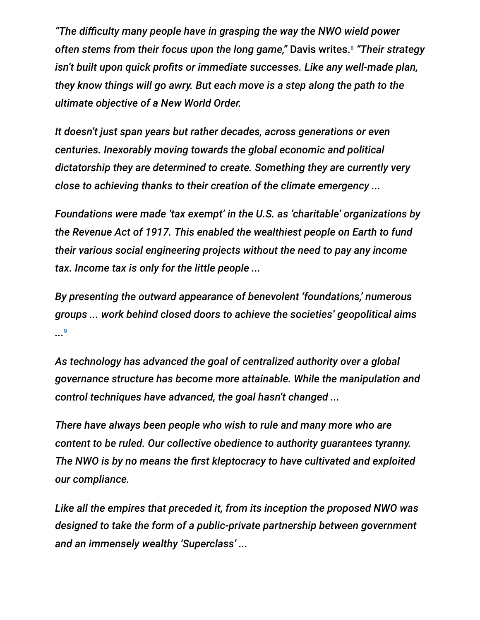*"The difficulty many people have in grasping the way the NWO wield power often stems from their focus upon the long game,"* Davis writes. *"Their strategy* 8 *isn't built upon quick profits or immediate successes. Like any well-made plan, they know things will go awry. But each move is a step along the path to the ultimate objective of a New World Order.*

*It doesn't just span years but rather decades, across generations or even centuries. Inexorably moving towards the global economic and political dictatorship they are determined to create. Something they are currently very close to achieving thanks to their creation of the climate emergency ...*

*Foundations were made 'tax exempt' in the U.S. as 'charitable' organizations by the Revenue Act of 1917. This enabled the wealthiest people on Earth to fund their various social engineering projects without the need to pay any income tax. Income tax is only for the little people ...*

*By presenting the outward appearance of benevolent 'foundations,' numerous groups ... work behind closed doors to achieve the societies' geopolitical aims ...* 9

*As technology has advanced the goal of centralized authority over a global governance structure has become more attainable. While the manipulation and control techniques have advanced, the goal hasn't changed ...*

*There have always been people who wish to rule and many more who are content to be ruled. Our collective obedience to authority guarantees tyranny. The NWO is by no means the first kleptocracy to have cultivated and exploited our compliance.*

*Like all the empires that preceded it, from its inception the proposed NWO was designed to take the form of a public-private partnership between government and an immensely wealthy 'Superclass' ...*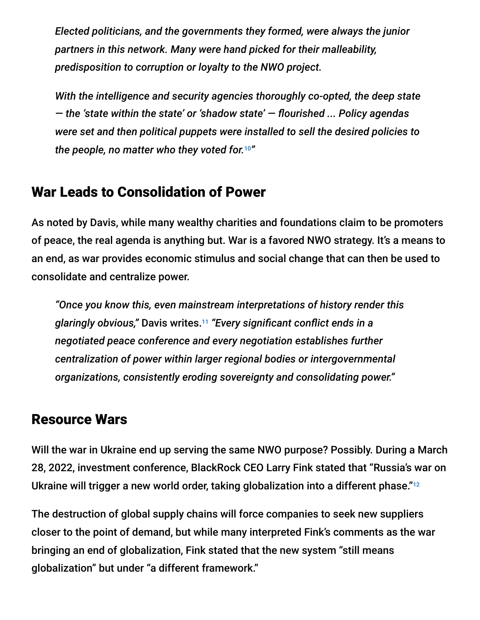*Elected politicians, and the governments they formed, were always the junior partners in this network. Many were hand picked for their malleability, predisposition to corruption or loyalty to the NWO project.*

*With the intelligence and security agencies thoroughly co-opted, the deep state — the 'state within the state' or 'shadow state' — flourished ... Policy agendas were set and then political puppets were installed to sell the desired policies to the people, no matter who they voted for. "* 10

# War Leads to Consolidation of Power

As noted by Davis, while many wealthy charities and foundations claim to be promoters of peace, the real agenda is anything but. War is a favored NWO strategy. It's a means to an end, as war provides economic stimulus and social change that can then be used to consolidate and centralize power.

*"Once you know this, even mainstream interpretations of history render this glaringly obvious,"* Davis writes. *"Every significant conflict ends in a* 11 *negotiated peace conference and every negotiation establishes further centralization of power within larger regional bodies or intergovernmental organizations, consistently eroding sovereignty and consolidating power."*

#### Resource Wars

Will the war in Ukraine end up serving the same NWO purpose? Possibly. During a March 28, 2022, investment conference, BlackRock CEO Larry Fink stated that "Russia's war on Ukraine will trigger a new world order, taking globalization into a different phase."<sup>12</sup>

The destruction of global supply chains will force companies to seek new suppliers closer to the point of demand, but while many interpreted Fink's comments as the war bringing an end of globalization, Fink stated that the new system "still means globalization" but under "a different framework."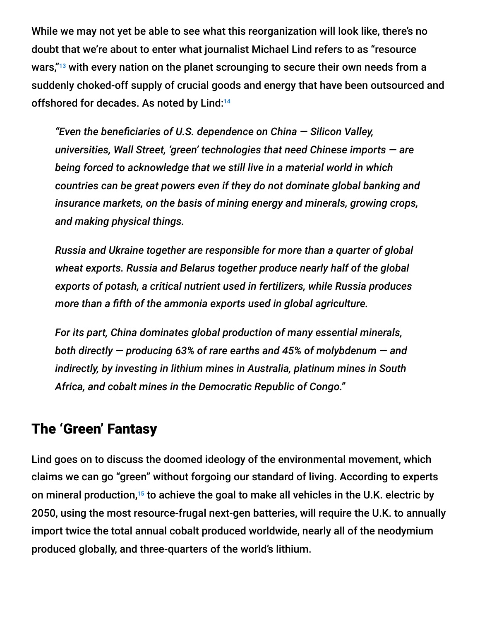While we may not yet be able to see what this reorganization will look like, there's no doubt that we're about to enter what journalist Michael Lind refers to as "resource wars,"<sup>13</sup> with every nation on the planet scrounging to secure their own needs from a suddenly choked-off supply of crucial goods and energy that have been outsourced and offshored for decades. As noted by Lind: 14

*"Even the beneficiaries of U.S. dependence on China — Silicon Valley, universities, Wall Street, 'green' technologies that need Chinese imports — are being forced to acknowledge that we still live in a material world in which countries can be great powers even if they do not dominate global banking and insurance markets, on the basis of mining energy and minerals, growing crops, and making physical things.*

*Russia and Ukraine together are responsible for more than a quarter of global wheat exports. Russia and Belarus together produce nearly half of the global exports of potash, a critical nutrient used in fertilizers, while Russia produces more than a fifth of the ammonia exports used in global agriculture.*

*For its part, China dominates global production of many essential minerals, both directly — producing 63% of rare earths and 45% of molybdenum — and indirectly, by investing in lithium mines in Australia, platinum mines in South Africa, and cobalt mines in the Democratic Republic of Congo."*

### The 'Green' Fantasy

Lind goes on to discuss the doomed ideology of the environmental movement, which claims we can go "green" without forgoing our standard of living. According to experts on mineral production,<sup>15</sup> to achieve the goal to make all vehicles in the U.K. electric by 2050, using the most resource-frugal next-gen batteries, will require the U.K. to annually import twice the total annual cobalt produced worldwide, nearly all of the neodymium produced globally, and three-quarters of the world's lithium.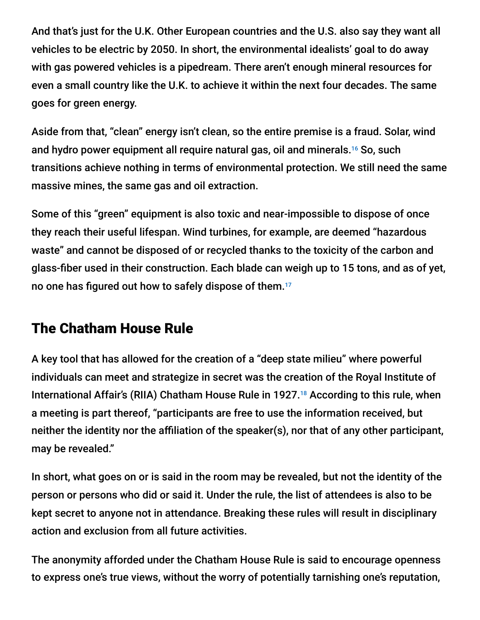And that's just for the U.K. Other European countries and the U.S. also say they want all vehicles to be electric by 2050. In short, the environmental idealists' goal to do away with gas powered vehicles is a pipedream. There aren't enough mineral resources for even a small country like the U.K. to achieve it within the next four decades. The same goes for green energy.

Aside from that, "clean" energy isn't clean, so the entire premise is a fraud. Solar, wind and hydro power equipment all require natural gas, oil and minerals.<sup>16</sup> So, such transitions achieve nothing in terms of environmental protection. We still need the same massive mines, the same gas and oil extraction.

Some of this "green" equipment is also toxic and near-impossible to dispose of once they reach their useful lifespan. Wind turbines, for example, are deemed "hazardous waste" and cannot be disposed of or recycled thanks to the toxicity of the carbon and glass-fiber used in their construction. Each blade can weigh up to 15 tons, and as of yet, no one has figured out how to safely dispose of them. 17

### The Chatham House Rule

A key tool that has allowed for the creation of a "deep state milieu" where powerful individuals can meet and strategize in secret was the creation of the Royal Institute of International Affair's (RIIA) Chatham House Rule in 1927.<sup>18</sup> According to this rule, when a meeting is part thereof, "participants are free to use the information received, but neither the identity nor the affiliation of the speaker(s), nor that of any other participant, may be revealed."

In short, what goes on or is said in the room may be revealed, but not the identity of the person or persons who did or said it. Under the rule, the list of attendees is also to be kept secret to anyone not in attendance. Breaking these rules will result in disciplinary action and exclusion from all future activities.

The anonymity afforded under the Chatham House Rule is said to encourage openness to express one's true views, without the worry of potentially tarnishing one's reputation,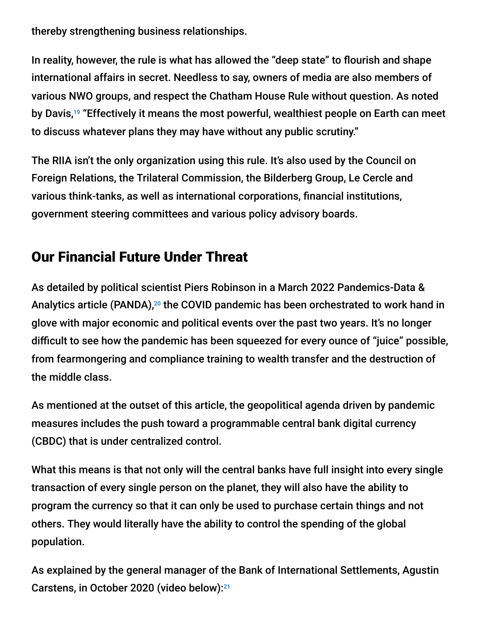thereby strengthening business relationships.

In reality, however, the rule is what has allowed the "deep state" to flourish and shape international affairs in secret. Needless to say, owners of media are also members of various NWO groups, and respect the Chatham House Rule without question. As noted by Davis,<sup>19</sup> "Effectively it means the most powerful, wealthiest people on Earth can meet to discuss whatever plans they may have without any public scrutiny."

The RIIA isn't the only organization using this rule. It's also used by the Council on Foreign Relations, the Trilateral Commission, the Bilderberg Group, Le Cercle and various think-tanks, as well as international corporations, financial institutions, government steering committees and various policy advisory boards.

# Our Financial Future Under Threat

As detailed by political scientist Piers Robinson in a March 2022 Pandemics-Data & Analytics article (PANDA),<sup>20</sup> the COVID pandemic has been orchestrated to work hand in glove with major economic and political events over the past two years. It's no longer difficult to see how the pandemic has been squeezed for every ounce of "juice" possible, from fearmongering and compliance training to wealth transfer and the destruction of the middle class.

As mentioned at the outset of this article, the geopolitical agenda driven by pandemic measures includes the push toward a programmable central bank digital currency (CBDC) that is under centralized control.

What this means is that not only will the central banks have full insight into every single transaction of every single person on the planet, they will also have the ability to program the currency so that it can only be used to purchase certain things and not others. They would literally have the ability to control the spending of the global population.

As explained by the general manager of the Bank of International Settlements, Agustin Carstens, in October 2020 (video below): 21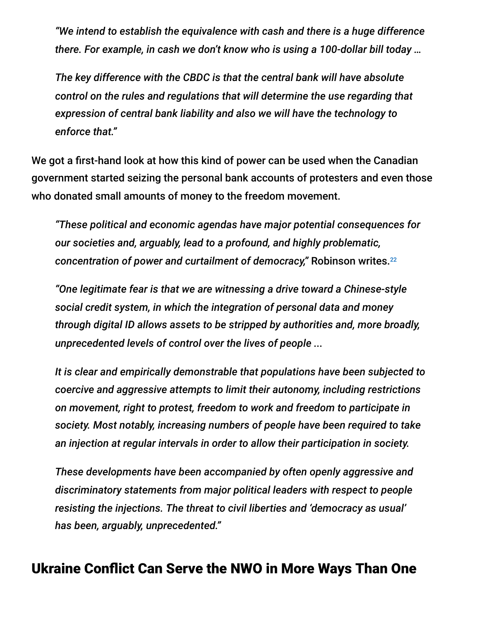*"We intend to establish the equivalence with cash and there is a huge difference there. For example, in cash we don't know who is using a 100-dollar bill today …*

*The key difference with the CBDC is that the central bank will have absolute control on the rules and regulations that will determine the use regarding that expression of central bank liability and also we will have the technology to enforce that."*

We got a first-hand look at how this kind of power can be used when the Canadian government started seizing the personal bank accounts of protesters and even those who donated small amounts of money to the freedom movement.

*"These political and economic agendas have major potential consequences for our societies and, arguably, lead to a profound, and highly problematic, concentration of power and curtailment of democracy,"* Robinson writes. 22

*"One legitimate fear is that we are witnessing a drive toward a Chinese-style social credit system, in which the integration of personal data and money through digital ID allows assets to be stripped by authorities and, more broadly, unprecedented levels of control over the lives of people ...*

*It is clear and empirically demonstrable that populations have been subjected to coercive and aggressive attempts to limit their autonomy, including restrictions on movement, right to protest, freedom to work and freedom to participate in society. Most notably, increasing numbers of people have been required to take an injection at regular intervals in order to allow their participation in society.*

*These developments have been accompanied by often openly aggressive and discriminatory statements from major political leaders with respect to people resisting the injections. The threat to civil liberties and 'democracy as usual' has been, arguably, unprecedented."*

### Ukraine Conflict Can Serve the NWO in More Ways Than One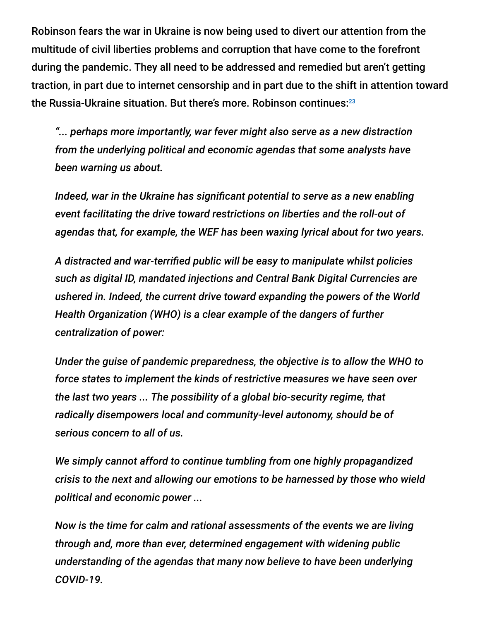Robinson fears the war in Ukraine is now being used to divert our attention from the multitude of civil liberties problems and corruption that have come to the forefront during the pandemic. They all need to be addressed and remedied but aren't getting traction, in part due to internet censorship and in part due to the shift in attention toward the Russia-Ukraine situation. But there's more. Robinson continues: 23

*"... perhaps more importantly, war fever might also serve as a new distraction from the underlying political and economic agendas that some analysts have been warning us about.*

*Indeed, war in the Ukraine has significant potential to serve as a new enabling event facilitating the drive toward restrictions on liberties and the roll-out of agendas that, for example, the WEF has been waxing lyrical about for two years.*

*A distracted and war-terrified public will be easy to manipulate whilst policies such as digital ID, mandated injections and Central Bank Digital Currencies are ushered in. Indeed, the current drive toward expanding the powers of the World Health Organization (WHO) is a clear example of the dangers of further centralization of power:*

*Under the guise of pandemic preparedness, the objective is to allow the WHO to force states to implement the kinds of restrictive measures we have seen over the last two years ... The possibility of a global bio-security regime, that radically disempowers local and community-level autonomy, should be of serious concern to all of us.*

*We simply cannot afford to continue tumbling from one highly propagandized crisis to the next and allowing our emotions to be harnessed by those who wield political and economic power ...*

*Now is the time for calm and rational assessments of the events we are living through and, more than ever, determined engagement with widening public understanding of the agendas that many now believe to have been underlying COVID-19.*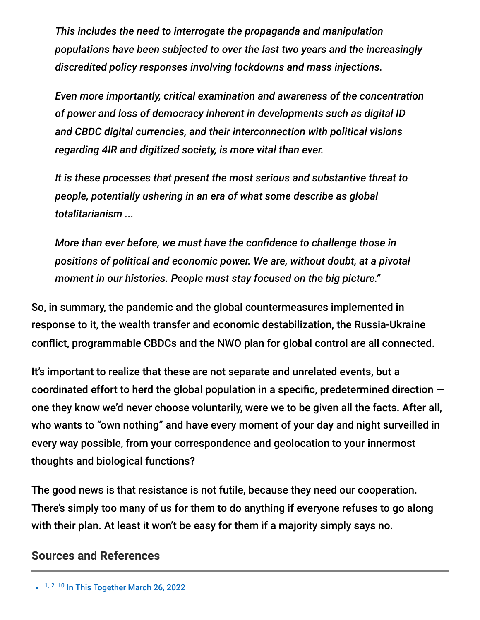*This includes the need to interrogate the propaganda and manipulation populations have been subjected to over the last two years and the increasingly discredited policy responses involving lockdowns and mass injections.*

*Even more importantly, critical examination and awareness of the concentration of power and loss of democracy inherent in developments such as digital ID and CBDC digital currencies, and their interconnection with political visions regarding 4IR and digitized society, is more vital than ever.*

*It is these processes that present the most serious and substantive threat to people, potentially ushering in an era of what some describe as global totalitarianism ...*

*More than ever before, we must have the confidence to challenge those in positions of political and economic power. We are, without doubt, at a pivotal moment in our histories. People must stay focused on the big picture."*

So, in summary, the pandemic and the global countermeasures implemented in response to it, the wealth transfer and economic destabilization, the Russia-Ukraine conflict, programmable CBDCs and the NWO plan for global control are all connected.

It's important to realize that these are not separate and unrelated events, but a coordinated effort to herd the global population in a specific, predetermined direction one they know we'd never choose voluntarily, were we to be given all the facts. After all, who wants to "own nothing" and have every moment of your day and night surveilled in every way possible, from your correspondence and geolocation to your innermost thoughts and biological functions?

The good news is that resistance is not futile, because they need our cooperation. There's simply too many of us for them to do anything if everyone refuses to go along with their plan. At least it won't be easy for them if a majority simply says no.

#### **Sources and References**